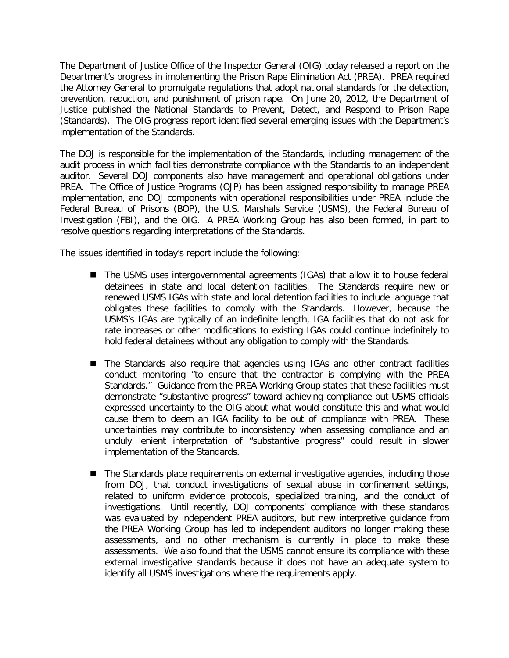The Department of Justice Office of the Inspector General (OIG) today released a report on the Department's progress in implementing the Prison Rape Elimination Act (PREA). PREA required the Attorney General to promulgate regulations that adopt national standards for the detection, prevention, reduction, and punishment of prison rape. On June 20, 2012, the Department of Justice published the National Standards to Prevent, Detect, and Respond to Prison Rape (Standards). The OIG progress report identified several emerging issues with the Department's implementation of the Standards.

The DOJ is responsible for the implementation of the Standards, including management of the audit process in which facilities demonstrate compliance with the Standards to an independent auditor. Several DOJ components also have management and operational obligations under PREA. The Office of Justice Programs (OJP) has been assigned responsibility to manage PREA implementation, and DOJ components with operational responsibilities under PREA include the Federal Bureau of Prisons (BOP), the U.S. Marshals Service (USMS), the Federal Bureau of Investigation (FBI), and the OIG. A PREA Working Group has also been formed, in part to resolve questions regarding interpretations of the Standards.

The issues identified in today's report include the following:

- The USMS uses intergovernmental agreements (IGAs) that allow it to house federal detainees in state and local detention facilities. The Standards require new or renewed USMS IGAs with state and local detention facilities to include language that obligates these facilities to comply with the Standards. However, because the USMS's IGAs are typically of an indefinite length, IGA facilities that do not ask for rate increases or other modifications to existing IGAs could continue indefinitely to hold federal detainees without any obligation to comply with the Standards.
- The Standards also require that agencies using IGAs and other contract facilities conduct monitoring "to ensure that the contractor is complying with the PREA Standards." Guidance from the PREA Working Group states that these facilities must demonstrate "substantive progress" toward achieving compliance but USMS officials expressed uncertainty to the OIG about what would constitute this and what would cause them to deem an IGA facility to be out of compliance with PREA. These uncertainties may contribute to inconsistency when assessing compliance and an unduly lenient interpretation of "substantive progress" could result in slower implementation of the Standards.
- The Standards place requirements on external investigative agencies, including those from DOJ, that conduct investigations of sexual abuse in confinement settings, related to uniform evidence protocols, specialized training, and the conduct of investigations. Until recently, DOJ components' compliance with these standards was evaluated by independent PREA auditors, but new interpretive guidance from the PREA Working Group has led to independent auditors no longer making these assessments, and no other mechanism is currently in place to make these assessments. We also found that the USMS cannot ensure its compliance with these external investigative standards because it does not have an adequate system to identify all USMS investigations where the requirements apply.